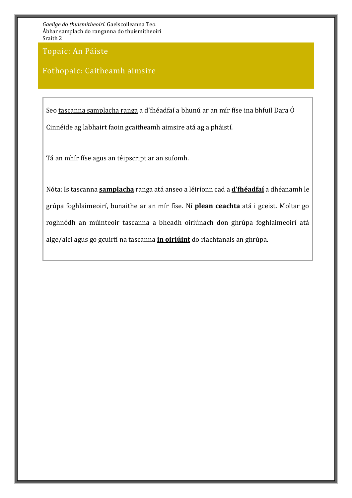Topaic: An Páiste

### Fothopaic: Caitheamh aimsire

Seo tascanna samplacha ranga a d'fhéadfaí a bhunú ar an mír físe ina bhfuil Dara Ó Cinnéide ag labhairt faoin gcaitheamh aimsire atá ag a pháistí.

Tá an mhír físe agus an téipscript ar an suíomh.

Nóta: Is tascanna **samplacha** ranga atá anseo a léiríonn cad a **d'fhéadfaí** a dhéanamh le grúpa foghlaimeoirí, bunaithe ar an mír físe. Ní **plean ceachta** atá i gceist. Moltar go roghnódh an múinteoir tascanna a bheadh oiriúnach don ghrúpa foghlaimeoirí atá aige/aici agus go gcuirfí na tascanna **in oiriúint** do riachtanais an ghrúpa.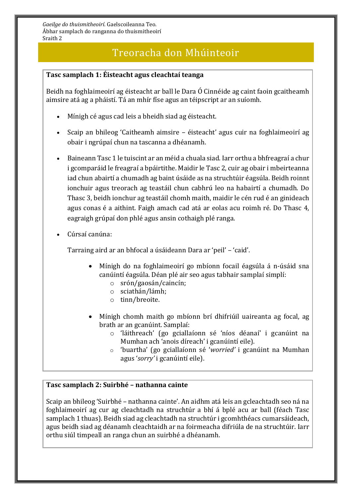## Treoracha don Mhúinteoir

#### **Tasc samplach 1: Éisteacht agus cleachtaí teanga**

Beidh na foghlaimeoirí ag éisteacht ar ball le Dara Ó Cinnéide ag caint faoin gcaitheamh aimsire atá ag a pháistí. Tá an mhír físe agus an téipscript ar an suíomh.

- Mínigh cé agus cad leis a bheidh siad ag éisteacht.
- Scaip an bhileog 'Caitheamh aimsire éisteacht' agus cuir na foghlaimeoirí ag obair i ngrúpaí chun na tascanna a dhéanamh.
- Baineann Tasc 1 le tuiscint ar an méid a chuala siad. Iarr orthu a bhfreagraí a chur i gcomparáid le freagraí a bpáirtithe. Maidir le Tasc 2, cuir ag obair i mbeirteanna iad chun abairtí a chumadh ag baint úsáide as na struchtúir éagsúla. Beidh roinnt ionchuir agus treorach ag teastáil chun cabhrú leo na habairtí a chumadh. Do Thasc 3, beidh ionchur ag teastáil chomh maith, maidir le cén rud é an ginideach agus conas é a aithint. Faigh amach cad atá ar eolas acu roimh ré. Do Thasc 4, eagraigh grúpaí don phlé agus ansin cothaigh plé ranga.
- Cúrsaí canúna:

Tarraing aird ar an bhfocal a úsáideann Dara ar 'peil' – 'caid'.

- Mínigh do na foghlaimeoirí go mbíonn focail éagsúla á n-úsáid sna canúintí éagsúla. Déan plé air seo agus tabhair samplaí simplí:
	- o srón/gaosán/caincín;
	- o sciathán/lámh;
	- o tinn/breoite.
- Mínigh chomh maith go mbíonn brí dhifriúil uaireanta ag focal, ag brath ar an gcanúint. Samplaí:
	- o 'láithreach' (go gciallaíonn sé 'níos déanaí' i gcanúint na Mumhan ach 'anois díreach' i gcanúintí eile).
	- o 'buartha' (go gciallaíonn sé '*worried'* i gcanúint na Mumhan agus '*sorry'* i gcanúintí eile).

#### **Tasc samplach 2: Suirbhé – nathanna cainte**

Scaip an bhileog 'Suirbhé – nathanna cainte'. An aidhm atá leis an gcleachtadh seo ná na foghlaimeoirí ag cur ag cleachtadh na struchtúr a bhí á bplé acu ar ball (féach Tasc samplach 1 thuas). Beidh siad ag cleachtadh na struchtúr i gcomhthéacs cumarsáideach, agus beidh siad ag déanamh cleachtaidh ar na foirmeacha difriúla de na struchtúir. Iarr orthu siúl timpeall an ranga chun an suirbhé a dhéanamh.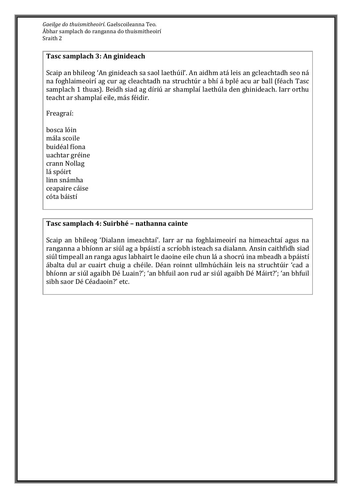#### **Tasc samplach 3: An ginideach**

Scaip an bhileog 'An ginideach sa saol laethúil'. An aidhm atá leis an gcleachtadh seo ná na foghlaimeoirí ag cur ag cleachtadh na struchtúr a bhí á bplé acu ar ball (féach Tasc samplach 1 thuas). Beidh siad ag díriú ar shamplaí laethúla den ghinideach. Iarr orthu teacht ar shamplaí eile, más féidir.

Freagraí:

bosca lóin mála scoile buidéal fíona uachtar gréine crann Nollag lá spóirt linn snámha ceapaire cáise cóta báistí

#### **Tasc samplach 4: Suirbhé – nathanna cainte**

Scaip an bhileog 'Dialann imeachtaí'. Iarr ar na foghlaimeoirí na himeachtaí agus na ranganna a bhíonn ar siúl ag a bpáistí a scríobh isteach sa dialann. Ansin caithfidh siad siúl timpeall an ranga agus labhairt le daoine eile chun lá a shocrú ina mbeadh a bpáistí ábalta dul ar cuairt chuig a chéile. Déan roinnt ullmhúcháin leis na struchtúir 'cad a bhíonn ar siúl agaibh Dé Luain?'; 'an bhfuil aon rud ar siúl agaibh Dé Máirt?'; 'an bhfuil sibh saor Dé Céadaoin?' etc.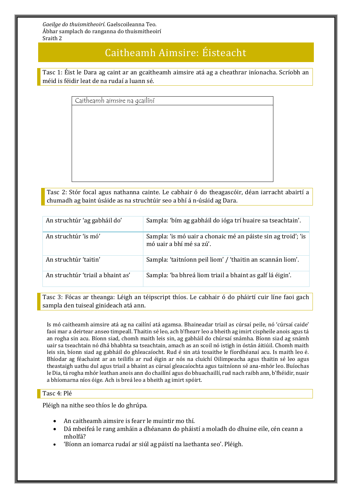## Caitheamh Aimsire: Éisteacht

Tasc 1: Éist le Dara ag caint ar an gcaitheamh aimsire atá ag a cheathrar iníonacha. Scríobh an méid is féidir leat de na rudaí a luann sé.

Caitheamh aimsire na gcailíní

Tasc 2: Stór focal agus nathanna cainte. Le cabhair ó do theagascóir, déan iarracht abairtí a chumadh ag baint úsáide as na struchtúir seo a bhí á n-úsáid ag Dara.

| An struchtúr 'ag gabháil do'      | Sampla: 'bím ag gabháil do ióga trí huaire sa tseachtain'.                                |
|-----------------------------------|-------------------------------------------------------------------------------------------|
| An struchtúr 'is mó'              | Sampla: 'is mó uair a chonaic mé an páiste sin ag troid'; 'is<br>mó uair a bhí mé sa zú'. |
| An struchtúr 'taitin'             | Sampla: 'taitníonn peil liom' / 'thaitin an scannán liom'.                                |
| An struchtúr 'triail a bhaint as' | Sampla: 'ba bhreá liom triail a bhaint as galf lá éigin'.                                 |

Tasc 3: Fócas ar theanga: Léigh an téipscript thíos. Le cabhair ó do pháirtí cuir líne faoi gach sampla den tuiseal ginideach atá ann.

Is mó caitheamh aimsire atá ag na cailíní atá agamsa. Bhaineadar triail as cúrsaí peile, nó 'cúrsaí caide' faoi mar a deirtear anseo timpeall. Thaitin sé leo, ach b'fhearr leo a bheith ag imirt cispheile anois agus tá an rogha sin acu. Bíonn siad, chomh maith leis sin, ag gabháil do chúrsaí snámha. Bíonn siad ag snámh uair sa tseachtain nó dhá bhabhta sa tseachtain, amach as an scoil nó istigh in óstán áitiúil. Chomh maith leis sin, bíonn siad ag gabháil do ghleacaíocht. Rud é sin atá tosaithe le fíordhéanaí acu. Is maith leo é. Bhíodar ag féachaint ar an teilifís ar rud éigin ar nós na cluichí Oilimpeacha agus thaitin sé leo agus theastaigh uathu dul agus triail a bhaint as cúrsaí gleacaíochta agus taitníonn sé ana-mhór leo. Buíochas le Dia, tá rogha mhór leathan anois ann do chailíní agus do bhuachaillí, rud nach raibh ann, b'fhéidir, nuair a bhíomarna níos óige. Ach is breá leo a bheith ag imirt spóirt.

#### Tasc 4: Plé

Pléigh na nithe seo thíos le do ghrúpa.

- An caitheamh aimsire is fearr le muintir mo thí.
- Dá mbeifeá le rang amháin a dhéanann do pháistí a moladh do dhuine eile, cén ceann a mholfá?
- 'Bíonn an iomarca rudaí ar siúl ag páistí na laethanta seo'. Pléigh.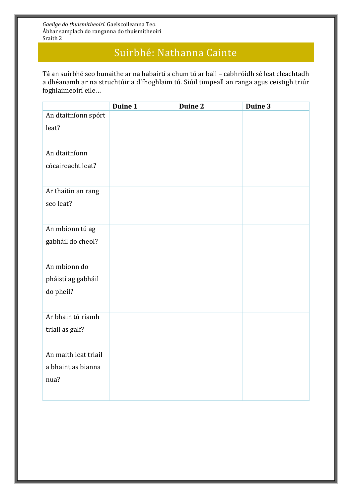# Suirbhé: Nathanna Cainte

Tá an suirbhé seo bunaithe ar na habairtí a chum tú ar ball – cabhróidh sé leat cleachtadh a dhéanamh ar na struchtúir a d'fhoghlaim tú. Siúil timpeall an ranga agus ceistigh triúr foghlaimeoirí eile…

| Duine 1 | Duine 2 | Duine 3 |
|---------|---------|---------|
|         |         |         |
|         |         |         |
|         |         |         |
|         |         |         |
|         |         |         |
|         |         |         |
|         |         |         |
|         |         |         |
|         |         |         |
|         |         |         |
|         |         |         |
|         |         |         |
|         |         |         |
|         |         |         |
|         |         |         |
|         |         |         |
|         |         |         |
|         |         |         |
|         |         |         |
|         |         |         |
|         |         |         |
|         |         |         |
|         |         |         |
|         |         |         |
|         |         |         |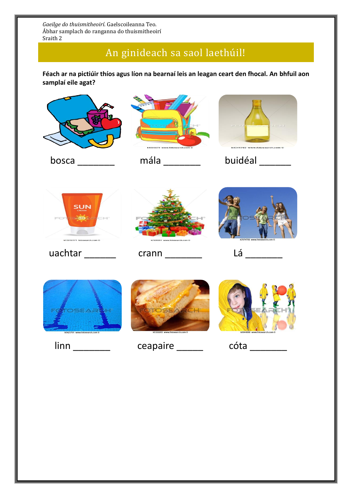# An ginideach sa saol laethúil!

**Féach ar na pictiúir thíos agus líon na bearnaí leis an leagan ceart den fhocal. An bhfuil aon samplaí eile agat?**